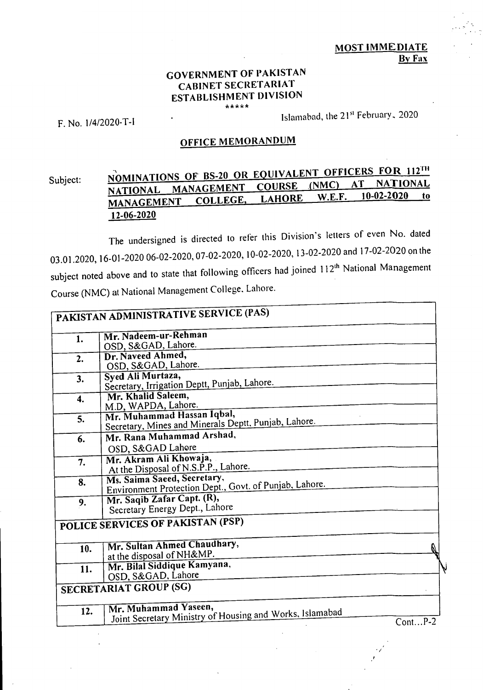## **GOVERNMENT OF PAKISTAN CABINET SECRETARIAT ESTABLISHMENT DIVISION \*\*\*\*\***

F. No. 1/4/2020-T-1

Islamabad, the 21st February, 2020

## **OFFICE MEMORANDUM**

## Subject: **NOMINATIONS OF BS-20 OR EQUIVALENT OFFICERS FOR 112."**<br>COURSE (NMC) AT NATIONAL **NATIONAL MANAGEMENT COURSE (NMC) AT NATIONAL MANAGEMENT COLLEGE, LAHORE W.E.F. 10-02-2020 to 12-06-2020**

The undersigned is directed to refer this Division's letters of even No. dated 03.01.2020, 16-01-2020 06-02-2020, 07-02-2020, 10-02-2020, 13-02-2020 and 17-02-2020 on the subject noted above and to state that following officers had joined 112<sup>th</sup> National Management Course (NMC) at National Management College, Lahore.

|              | PAKISTAN ADMINISTRATIVE SERVICE (PAS)                                              |           |
|--------------|------------------------------------------------------------------------------------|-----------|
| 1.           | Mr. Nadeem-ur-Rehman                                                               |           |
|              | OSD, S&GAD, Lahore.                                                                |           |
| 2.           | Dr. Naveed Ahmed.                                                                  |           |
|              | OSD, S&GAD, Lahore.                                                                |           |
| 3.           | Syed Ali Murtaza,                                                                  |           |
|              | Secretary, Irrigation Deptt, Punjab, Lahore.                                       |           |
| $\ddot{4}$ . | Mr. Khalid Saleem,                                                                 |           |
|              | M.D, WAPDA, Lahore.                                                                |           |
| 5.           | Mr. Muhammad Hassan Iqbal,<br>Secretary, Mines and Minerals Deptt, Punjab, Lahore. |           |
|              |                                                                                    |           |
| 6.           | Mr. Rana Muhammad Arshad,                                                          |           |
|              | OSD, S&GAD Lahore                                                                  |           |
| 7.           | Mr. Akram Ali Khowaja,                                                             |           |
|              | At the Disposal of N.S.P.P., Lahore.                                               |           |
| 8.           | Ms. Saima Saeed, Secretary,                                                        |           |
|              | Environment Protection Dept., Govt. of Punjab, Lahore.                             |           |
| 9.           | Mr. Saqib Zafar Capt. (R),                                                         |           |
|              | Secretary Energy Dept., Lahore                                                     |           |
|              | POLICE SERVICES OF PAKISTAN (PSP)                                                  |           |
|              |                                                                                    |           |
| 10.          | Mr. Sultan Ahmed Chaudhary,                                                        |           |
|              | at the disposal of NH&MP.                                                          |           |
| 11.          | Mr. Bilal Siddique Kamyana,                                                        |           |
|              | OSD, S&GAD, Lahore                                                                 |           |
|              | <b>SECRETARIAT GROUP (SG)</b>                                                      |           |
|              |                                                                                    |           |
| 12.          | Mr. Muhammad Yaseen,                                                               |           |
|              | Joint Secretary Ministry of Housing and Works, Islamabad                           | $ContP-2$ |
|              |                                                                                    |           |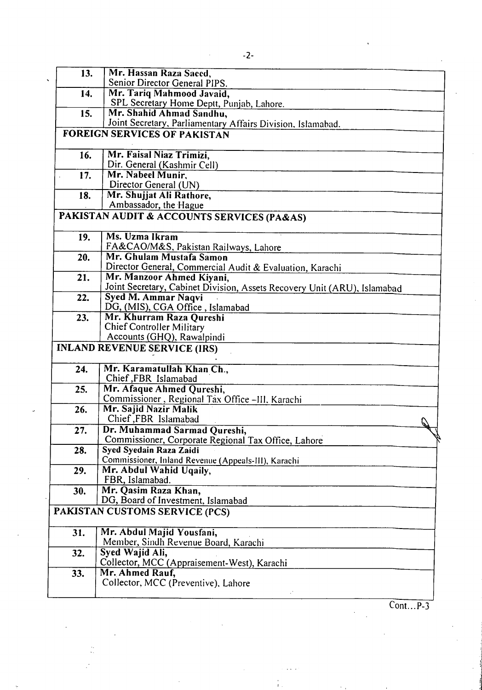Mr. Hassan Raza Saced,

|     |     | Senior Director General PIPS.                                                  |  |
|-----|-----|--------------------------------------------------------------------------------|--|
|     | 14. | Mr. Tariq Mahmood Javaid,                                                      |  |
|     |     | SPL Secretary Home Deptt, Punjab, Lahore.                                      |  |
|     | 15. | Mr. Shahid Ahmad Sandhu,                                                       |  |
|     |     | Joint Secretary, Parliamentary Affairs Division, Islamabad.                    |  |
|     |     | <b>FOREIGN SERVICES OF PAKISTAN</b>                                            |  |
|     | 16. | Mr. Faisal Niaz Trimizi,                                                       |  |
|     |     | Dir. General (Kashmir Cell)                                                    |  |
|     | 17. | Mr. Nabeel Munir,                                                              |  |
|     |     | Director General (UN)                                                          |  |
|     | 18. | Mr. Shujjat Ali Rathore,                                                       |  |
|     |     | Ambassador, the Hague                                                          |  |
|     |     | PAKISTAN AUDIT & ACCOUNTS SERVICES (PA&AS)                                     |  |
|     | 19. | Ms. Uzma Ikram                                                                 |  |
|     |     | FA&CAO/M&S, Pakistan Railways, Lahore                                          |  |
|     | 20. | Mr. Ghulam Mustafa Samon                                                       |  |
|     |     | Director General, Commercial Audit & Evaluation, Karachi                       |  |
|     | 21. | Mr. Manzoor Ahmed Kiyani,                                                      |  |
|     |     | Joint Secretary, Cabinet Division, Assets Recovery Unit (ARU), Islamabad       |  |
|     | 22. | Syed M. Ammar Naqvi                                                            |  |
|     |     | DG, (MIS), CGA Office, Islamabad                                               |  |
|     | 23. | Mr. Khurram Raza Qureshi                                                       |  |
|     |     | <b>Chief Controller Military</b>                                               |  |
|     |     | Accounts (GHQ), Rawalpindi                                                     |  |
|     |     | <b>INLAND REVENUE SERVICE (IRS)</b>                                            |  |
|     | 24. | Mr. Karamatullah Khan Ch.,                                                     |  |
|     |     | Chief FBR Islamabad                                                            |  |
|     | 25. | Mr. Afaque Ahmed Qureshi,                                                      |  |
|     |     | Commissioner, Regional Tax Office -III, Karachi                                |  |
|     | 26. | Mr. Sajid Nazir Malik                                                          |  |
|     |     | Chief, FBR Islamabad                                                           |  |
|     | 27. | Dr. Muhammad Sarmad Qureshi,                                                   |  |
|     |     | Commissioner, Corporate Regional Tax Office, Lahore<br>Syed Syedain Raza Zaidi |  |
|     | 28. | Commissioner, Inland Revenue (Appeals-III), Karachi                            |  |
|     | 29. | Mr. Abdul Wahid Uqaily,                                                        |  |
|     |     | FBR, Islamabad.                                                                |  |
|     | 30. | Mr. Qasim Raza Khan,                                                           |  |
|     |     | DG, Board of Investment, Islamabad                                             |  |
|     |     | PAKISTAN CUSTOMS SERVICE (PCS)                                                 |  |
|     |     |                                                                                |  |
|     | 31. | Mr. Abdul Majid Yousfani,                                                      |  |
|     |     | Member, Sindh Revenue Board, Karachi                                           |  |
| 32. |     | Syed Wajid Ali,                                                                |  |
|     |     | Collector, MCC (Appraisement-West), Karachi                                    |  |
| 33. |     | Mr. Ahmed Rauf,                                                                |  |
|     |     | Collector, MCC (Preventive), Lahore                                            |  |
|     |     |                                                                                |  |

 $\overline{Cont...P-3}$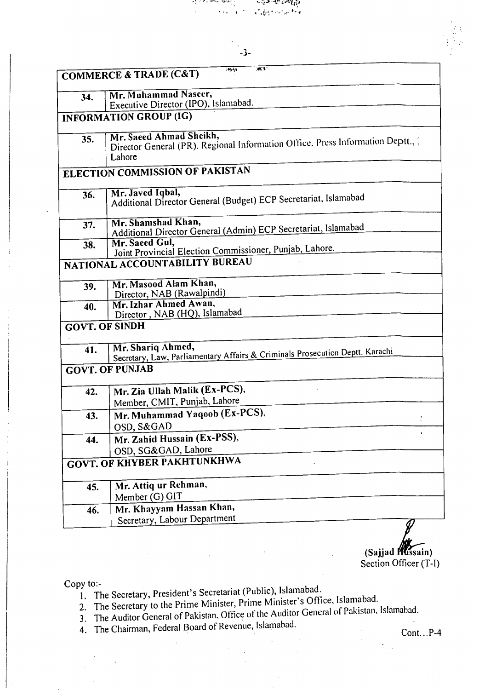



|                       | 確実<br>ing Ly<br><b>COMMERCE &amp; TRADE (C&amp;T)</b>                                                              |  |  |
|-----------------------|--------------------------------------------------------------------------------------------------------------------|--|--|
|                       |                                                                                                                    |  |  |
| 34.                   | Mr. Muhammad Naseer,<br>Executive Director (IPO), Islamabad.                                                       |  |  |
|                       | <b>INFORMATION GROUP (IG)</b>                                                                                      |  |  |
|                       |                                                                                                                    |  |  |
| 35.                   | Mr. Saeed Ahmad Sheikh,<br>Director General (PR), Regional Information Office, Press Information Deptt.,<br>Lahore |  |  |
|                       | ELECTION COMMISSION OF PAKISTAN                                                                                    |  |  |
| 36.                   | Mr. Javed Iqbal,<br>Additional Director General (Budget) ECP Secretariat, Islamabad                                |  |  |
| 37.                   | Mr. Shamshad Khan,<br>Additional Director General (Admin) ECP Secretariat, Islamabad                               |  |  |
| 38.                   | Mr. Saeed Gul.<br>Joint Provincial Election Commissioner, Punjab, Lahore.                                          |  |  |
|                       | NATIONAL ACCOUNTABILITY BUREAU                                                                                     |  |  |
| 39.                   | Mr. Masood Alam Khan,<br>Director, NAB (Rawalpindi)                                                                |  |  |
| 40.                   | Mr. Izhar Ahmed Awan,<br>Director, NAB (HQ), Islamabad                                                             |  |  |
| <b>GOVT. OF SINDH</b> |                                                                                                                    |  |  |
| 41.                   | Mr. Shariq Ahmed,<br>Secretary, Law, Parliamentary Affairs & Criminals Prosecution Deptt. Karachi                  |  |  |
|                       | <b>GOVT. OF PUNJAB</b>                                                                                             |  |  |
| 42.                   | Mr. Zia Ullah Malik (Ex-PCS),<br>Member, CMIT, Punjab, Lahore                                                      |  |  |
| 43.                   | Mr. Muhammad Yaqoob (Ex-PCS).                                                                                      |  |  |
|                       | OSD, S&GAD                                                                                                         |  |  |
| 44.                   | Mr. Zahid Hussain (Ex-PSS),                                                                                        |  |  |
|                       | OSD, SG&GAD, Lahore                                                                                                |  |  |
|                       | <b>GOVT. OF KHYBER PAKHTUNKHWA</b>                                                                                 |  |  |
| 45.                   | Mr. Attiq ur Rehman,                                                                                               |  |  |
|                       | Member (G) GIT                                                                                                     |  |  |
| 46.                   | Mr. Khayyam Hassan Khan,                                                                                           |  |  |
|                       | Secretary, Labour Department                                                                                       |  |  |

**(Sajjad** *P'* **ssain)**  Section Officer (T-I)

Copy to:-

- 1. The Secretary, President's Secretariat (Public), Islamabad.
- 2. The Secretary to the Prime Minister, Prime Minister's Office, Islamabad.
- The Auditor General of Pakistan, Office of the Auditor General of Pakistan, Islamabad.
- 4. The Chairman, Federal Board of Revenue, Islamabad. Cont...P-4